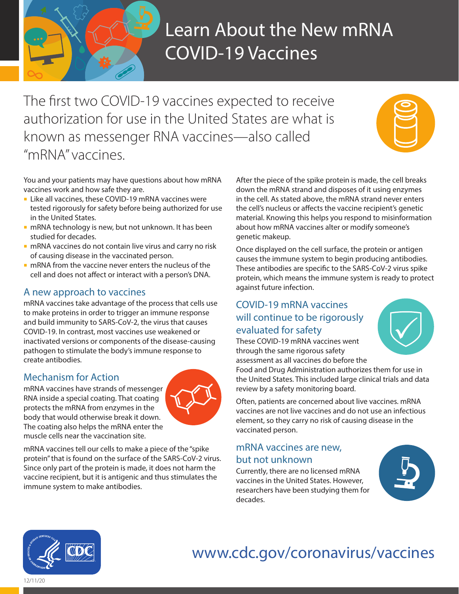

# Learn About the New mRNA COVID-19 Vaccines

The first two COVID-19 vaccines expected to receive authorization for use in the United States are what is known as messenger RNA vaccines—also called "mRNA" vaccines.



You and your patients may have questions about how mRNA vaccines work and how safe they are.

- **Like all vaccines, these COVID-19 mRNA vaccines were** tested rigorously for safety before being authorized for use in the United States.
- **n** mRNA technology is new, but not unknown. It has been studied for decades.
- **n** mRNA vaccines do not contain live virus and carry no risk of causing disease in the vaccinated person.
- **n** mRNA from the vaccine never enters the nucleus of the cell and does not affect or interact with a person's DNA.

## A new approach to vaccines

mRNA vaccines take advantage of the process that cells use to make proteins in order to trigger an immune response and build immunity to SARS-CoV-2, the virus that causes COVID-19. In contrast, most vaccines use weakened or inactivated versions or components of the disease-causing pathogen to stimulate the body's immune response to create antibodies.

# Mechanism for Action

mRNA vaccines have strands of messenger RNA inside a special coating. That coating protects the mRNA from enzymes in the body that would otherwise break it down. The coating also helps the mRNA enter the muscle cells near the vaccination site.



mRNA vaccines tell our cells to make a piece of the "spike protein" that is found on the surface of the SARS-CoV-2 virus. Since only part of the protein is made, it does not harm the vaccine recipient, but it is antigenic and thus stimulates the immune system to make antibodies.

After the piece of the spike protein is made, the cell breaks down the mRNA strand and disposes of it using enzymes in the cell. As stated above, the mRNA strand never enters the cell's nucleus or affects the vaccine recipient's genetic material. Knowing this helps you respond to misinformation about how mRNA vaccines alter or modify someone's genetic makeup.

Once displayed on the cell surface, the protein or antigen causes the immune system to begin producing antibodies. These antibodies are specific to the SARS-CoV-2 virus spike protein, which means the immune system is ready to protect against future infection.

# COVID-19 mRNA vaccines will continue to be rigorously evaluated for safety

These COVID-19 mRNA vaccines went through the same rigorous safety assessment as all vaccines do before the

Food and Drug Administration authorizes them for use in the United States. This included large clinical trials and data review by a safety monitoring board.

Often, patients are concerned about live vaccines. mRNA vaccines are not live vaccines and do not use an infectious element, so they carry no risk of causing disease in the vaccinated person.

## mRNA vaccines are new, but not unknown

Currently, there are no licensed mRNA vaccines in the United States. However, researchers have been studying them for decades.





### [www.cdc.gov/coronavirus/vaccines](http://www.cdc.gov/coronavirus/vaccines) **Health and Human Services**